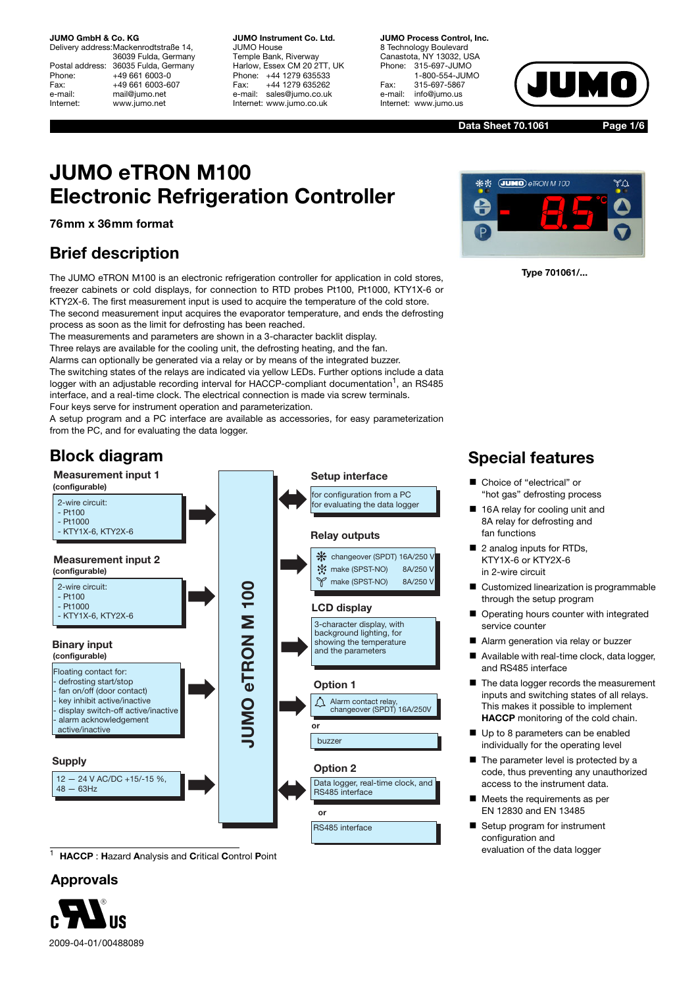**JUMO GmbH & Co. KG**

Delivery address:Mackenrodtstraße 14, 36039 Fulda, Germany Postal address: 36035 Fulda, Germany<br>Phone: +49 661 6003-0 Phone: +49 661 6003-0<br>Fax: +49 661 6003-6 Fax: +49 661 6003-607<br>e-mail: mail@jumo.net mail@jumo.net Internet: www.jumo.net

**JUMO Instrument Co. Ltd.** JUMO House Temple Bank, Riverway Harlow, Essex CM 20 2TT, UK Phone: +44 1279 635533<br>Fax: +44 1279 635262 +44 1279 635262 e-mail: sales@jumo.co.uk Internet: www.jumo.co.uk

**JUMO Process Control, Inc.** 8 Technology Boulevard Canastota, NY 13032, USA<br>Phone: 315-697-JUMO Phone: 315-697-JUMO 1-800-554-JUMO Fax: 315-697-5867 info@jumo.us Internet: www.jumo.us



**Data Sheet 70.1061**

**Page 1/6**

# **JUMO eTRON M100 Electronic Refrigeration Controller**

**76mm x 36mm format**

### **Brief description**

The JUMO eTRON M100 is an electronic refrigeration controller for application in cold stores, freezer cabinets or cold displays, for connection to RTD probes Pt100, Pt1000, KTY1X-6 or KTY2X-6. The first measurement input is used to acquire the temperature of the cold store. The second measurement input acquires the evaporator temperature, and ends the defrosting process as soon as the limit for defrosting has been reached.

The measurements and parameters are shown in a 3-character backlit display.

Three relays are available for the cooling unit, the defrosting heating, and the fan.

Alarms can optionally be generated via a relay or by means of the integrated buzzer.

The switching states of the relays are indicated via yellow LEDs. Further options include a data logger with an adjustable recording interval for HACCP-compliant documentation<sup>1</sup>, an RS485 interface, and a real-time clock. The electrical connection is made via screw terminals. Four keys serve for instrument operation and parameterization.

A setup program and a PC interface are available as accessories, for easy parameterization from the PC, and for evaluating the data logger.

#### **Block diagram Measurement input 1 Setup interface (configurable)** for configuration from a PC 2-wire circuit: for evaluating the data logger  $-$  Pt100  $-$  Pt1000 - KTY1X-6, KTY2X-6 **Relay outputs** changeover (SPDT) 16A/250 V **Measurement input 2 W**: make (SPST-NO) 8A/250 \ **(configurable)**  $\mathscr V$ make (SPST-NO) 8A/250 \ **JUMO eTRON M 100** 2-wire circuit : **UMO eTRON M 100**  $-$  Pt100 - Pt1000 **LCD display** - KTY1X-6, KTY2X-6 3-character display, with background lighting, for showing the temperature **Binary input** and the parameters **(configurable)** Floating contact for: - defrosting start/stop **Option 1** fan on/off (door contact) Alarm contact relay, - key inhibit active/inactive changeover (SPDT) 16A/250V display switch-off active/inactive alarm acknowledgement **or** active/inactive buzzer **Supply Option 2** 12 — 24 V AC/DC +15/-15 %, Data logger, real-time clock, and  $48 - 63$ Hz RS485 interface **or** RS485 interface

<sup>1</sup> **HACCP** : **H**azard **A**nalysis and **C**ritical **C**ontrol **P**oint

#### **Approvals**





 **Type 701061/...**

### **Special features**

- Choice of "electrical" or "hot gas" defrosting process
- 16A relay for cooling unit and 8A relay for defrosting and fan functions
- $\blacksquare$  2 analog inputs for RTDs, KTY1X-6 or KTY2X-6 in 2-wire circuit
- $\blacksquare$  Customized linearization is programmable through the setup program
- $\blacksquare$  Operating hours counter with integrated service counter
- Alarm generation via relay or buzzer
- $\blacksquare$  Available with real-time clock, data logger, and RS485 interface
- The data logger records the measurement inputs and switching states of all relays. This makes it possible to implement **HACCP** monitoring of the cold chain.
- Up to 8 parameters can be enabled individually for the operating level
- $\blacksquare$  The parameter level is protected by a code, thus preventing any unauthorized access to the instrument data.
- $\blacksquare$  Meets the requirements as per EN 12830 and EN 13485
- Setup program for instrument configuration and evaluation of the data logger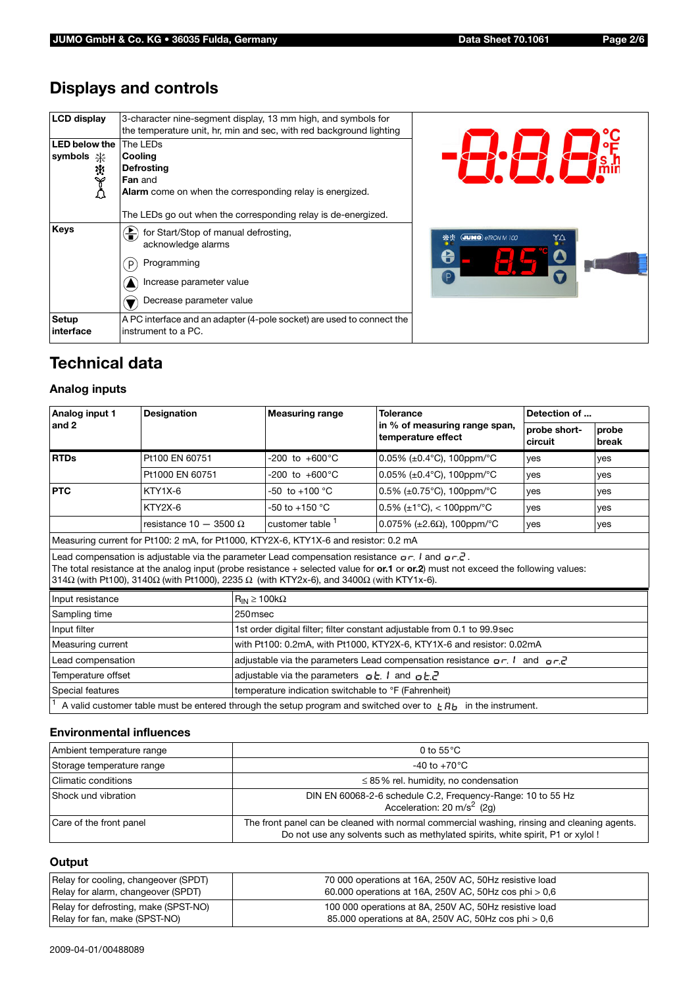## **Displays and controls**

| <b>LCD</b> display                       | 3-character nine-segment display, 13 mm high, and symbols for<br>the temperature unit, hr, min and sec, with red background lighting                                                                                    |                                          |
|------------------------------------------|-------------------------------------------------------------------------------------------------------------------------------------------------------------------------------------------------------------------------|------------------------------------------|
| LED below the<br>symbols <b>米</b><br>ひみな | The LEDs<br>Cooling<br>Defrosting<br><b>Fan</b> and<br>Alarm come on when the corresponding relay is energized.                                                                                                         |                                          |
| Keys                                     | The LEDs go out when the corresponding relay is de-energized.<br>for Start/Stop of manual defrosting,<br>盖<br>acknowledge alarms<br>Programming<br>$\mathsf{P}$<br>Increase parameter value<br>Decrease parameter value | <b>JUMO</b> eTRON M 100<br>**<br>٧Q<br>e |
| <b>Setup</b><br>linterface               | A PC interface and an adapter (4-pole socket) are used to connect the<br>instrument to a PC.                                                                                                                            |                                          |

### **Technical data**

#### **Analog inputs**

| <b>Designation</b>            |                                                                           | <b>Measuring range</b>                                                                      | <b>Tolerance</b>                                   | Detection of                                                                                                                                                                                                                                                                                                                                                                                                                                                                        |                                                                                                                                                                                                                                                         |  |
|-------------------------------|---------------------------------------------------------------------------|---------------------------------------------------------------------------------------------|----------------------------------------------------|-------------------------------------------------------------------------------------------------------------------------------------------------------------------------------------------------------------------------------------------------------------------------------------------------------------------------------------------------------------------------------------------------------------------------------------------------------------------------------------|---------------------------------------------------------------------------------------------------------------------------------------------------------------------------------------------------------------------------------------------------------|--|
|                               |                                                                           |                                                                                             | temperature effect                                 | probe short-<br>circuit                                                                                                                                                                                                                                                                                                                                                                                                                                                             | probe<br>break                                                                                                                                                                                                                                          |  |
| <b>RTDs</b><br>Pt100 EN 60751 |                                                                           | $-200$ to $+600^{\circ}$ C                                                                  | 0.05% (±0.4°C), 100ppm/°C                          | ves                                                                                                                                                                                                                                                                                                                                                                                                                                                                                 | yes                                                                                                                                                                                                                                                     |  |
| Pt1000 EN 60751               |                                                                           | -200 to +600 $^{\circ}$ C                                                                   | $0.05\%$ (±0.4 $^{\circ}$ C), 100ppm/ $^{\circ}$ C | yes                                                                                                                                                                                                                                                                                                                                                                                                                                                                                 | yes                                                                                                                                                                                                                                                     |  |
| KTY1X-6                       |                                                                           | $-50$ to $+100$ °C                                                                          | $0.5\%$ (±0.75°C), 100ppm/°C                       | <b>ves</b>                                                                                                                                                                                                                                                                                                                                                                                                                                                                          | yes                                                                                                                                                                                                                                                     |  |
| KTY2X-6                       |                                                                           | $-50$ to $+150$ °C                                                                          | $0.5\%$ (±1°C), < 100ppm/°C                        | <b>ves</b>                                                                                                                                                                                                                                                                                                                                                                                                                                                                          | yes                                                                                                                                                                                                                                                     |  |
|                               |                                                                           | customer table <sup>1</sup>                                                                 | 0.075% ( $\pm 2.6\Omega$ ), 100ppm/°C              | <b>ves</b>                                                                                                                                                                                                                                                                                                                                                                                                                                                                          | yes                                                                                                                                                                                                                                                     |  |
|                               |                                                                           |                                                                                             |                                                    |                                                                                                                                                                                                                                                                                                                                                                                                                                                                                     |                                                                                                                                                                                                                                                         |  |
|                               |                                                                           |                                                                                             |                                                    |                                                                                                                                                                                                                                                                                                                                                                                                                                                                                     |                                                                                                                                                                                                                                                         |  |
| Input resistance              |                                                                           | $R_{IN} \ge 100k\Omega$                                                                     |                                                    |                                                                                                                                                                                                                                                                                                                                                                                                                                                                                     |                                                                                                                                                                                                                                                         |  |
| Sampling time                 |                                                                           | 250msec                                                                                     |                                                    |                                                                                                                                                                                                                                                                                                                                                                                                                                                                                     |                                                                                                                                                                                                                                                         |  |
|                               | 1st order digital filter; filter constant adjustable from 0.1 to 99.9 sec |                                                                                             |                                                    |                                                                                                                                                                                                                                                                                                                                                                                                                                                                                     |                                                                                                                                                                                                                                                         |  |
| Measuring current             |                                                                           | with Pt100: 0.2mA, with Pt1000, KTY2X-6, KTY1X-6 and resistor: 0.02mA                       |                                                    |                                                                                                                                                                                                                                                                                                                                                                                                                                                                                     |                                                                                                                                                                                                                                                         |  |
| Lead compensation             |                                                                           | adjustable via the parameters Lead compensation resistance $\rho r$ , and $\rho r \partial$ |                                                    |                                                                                                                                                                                                                                                                                                                                                                                                                                                                                     |                                                                                                                                                                                                                                                         |  |
| Temperature offset            |                                                                           |                                                                                             |                                                    |                                                                                                                                                                                                                                                                                                                                                                                                                                                                                     |                                                                                                                                                                                                                                                         |  |
| Special features              |                                                                           |                                                                                             |                                                    |                                                                                                                                                                                                                                                                                                                                                                                                                                                                                     |                                                                                                                                                                                                                                                         |  |
|                               |                                                                           |                                                                                             |                                                    |                                                                                                                                                                                                                                                                                                                                                                                                                                                                                     |                                                                                                                                                                                                                                                         |  |
|                               |                                                                           | resistance 10 - 3500 $\Omega$                                                               |                                                    | in % of measuring range span,<br>Measuring current for Pt100: 2 mA, for Pt1000, KTY2X-6, KTY1X-6 and resistor: 0.2 mA<br>Lead compensation is adjustable via the parameter Lead compensation resistance $\sigma r$ . I and $\sigma r \bar{c}$ .<br>314 $\Omega$ (with Pt100), 3140 $\Omega$ (with Pt1000), 2235 $\Omega$ (with KTY2x-6), and 3400 $\Omega$ (with KTY1x-6).<br>adjustable via the parameters $qE$ , and $qE$<br>temperature indication switchable to °F (Fahrenheit) | The total resistance at the analog input (probe resistance $+$ selected value for or.1 or or.2) must not exceed the following values:<br>A valid customer table must be entered through the setup program and switched over to $EAB$ in the instrument. |  |

#### **Environmental influences**

| Ambient temperature range | 0 to $55^{\circ}$ C                                                                                                                                                           |
|---------------------------|-------------------------------------------------------------------------------------------------------------------------------------------------------------------------------|
| Storage temperature range | -40 to +70 $^{\circ}$ C                                                                                                                                                       |
| l Climatic conditions     | $\leq$ 85% rel. humidity, no condensation                                                                                                                                     |
| Shock und vibration       | DIN EN 60068-2-6 schedule C.2, Frequency-Range: 10 to 55 Hz<br>Acceleration: 20 m/s <sup>2</sup> (2g)                                                                         |
| Care of the front panel   | The front panel can be cleaned with normal commercial washing, rinsing and cleaning agents.<br>Do not use any solvents such as methylated spirits, white spirit, P1 or xylol! |

#### **Output**

| Relay for cooling, changeover (SPDT) | 70 000 operations at 16A, 250V AC, 50Hz resistive load  |
|--------------------------------------|---------------------------------------------------------|
| Relay for alarm, changeover (SPDT)   | 60.000 operations at 16A, 250V AC, 50Hz cos phi $> 0.6$ |
| Relay for defrosting, make (SPST-NO) | 100 000 operations at 8A, 250V AC, 50Hz resistive load  |
| Relay for fan, make (SPST-NO)        | 85.000 operations at 8A, 250V AC, 50Hz cos phi > 0,6    |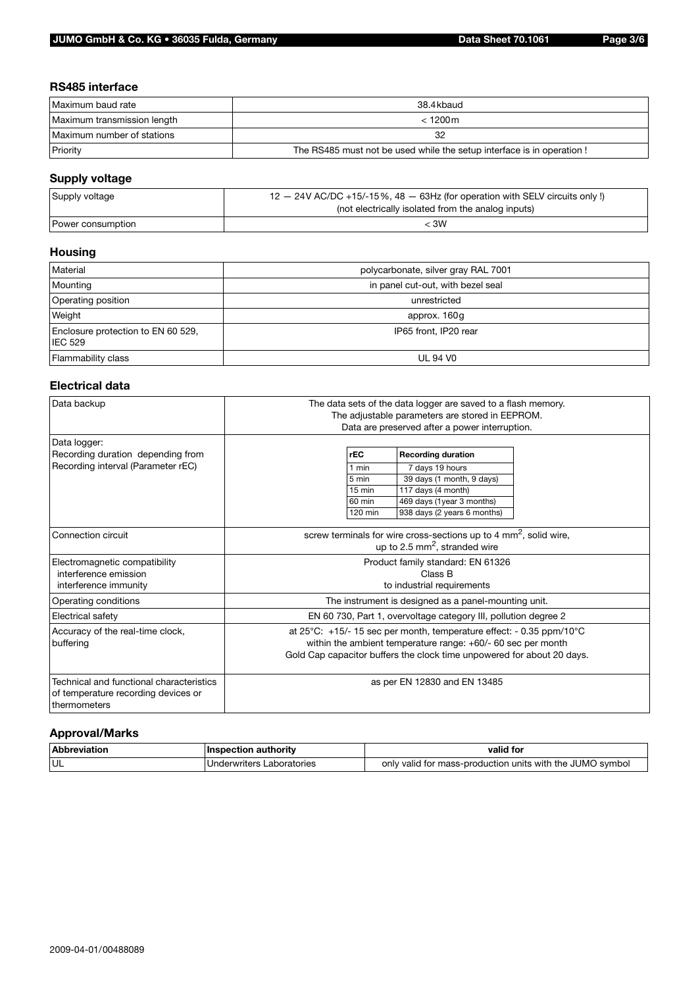#### **RS485 interface**

| Maximum baud rate           | 38.4kbaud                                                              |
|-----------------------------|------------------------------------------------------------------------|
| Maximum transmission length | $< 1200 \,\mathrm{m}$                                                  |
| Maximum number of stations  | 32                                                                     |
| Priority                    | The RS485 must not be used while the setup interface is in operation ! |

### **Supply voltage**

| Supply voltage    | $12 - 24V$ AC/DC +15/-15%, 48 $-$ 63Hz (for operation with SELV circuits only !) |
|-------------------|----------------------------------------------------------------------------------|
|                   | (not electrically isolated from the analog inputs)                               |
| Power consumption | < 3W                                                                             |

#### **Housing**

| Material                                             | polycarbonate, silver gray RAL 7001 |
|------------------------------------------------------|-------------------------------------|
| Mounting                                             | in panel cut-out, with bezel seal   |
| <b>Operating position</b>                            | unrestricted                        |
| Weight                                               | approx. 160g                        |
| Enclosure protection to EN 60 529,<br><b>IEC 529</b> | IP65 front, IP20 rear               |
| Flammability class                                   | <b>UL 94 V0</b>                     |

#### **Electrical data**

| Data backup                                                                                     | The data sets of the data logger are saved to a flash memory.<br>The adjustable parameters are stored in EEPROM.<br>Data are preserved after a power interruption.                                                                  |
|-------------------------------------------------------------------------------------------------|-------------------------------------------------------------------------------------------------------------------------------------------------------------------------------------------------------------------------------------|
| Data logger:<br>Recording duration depending from<br>Recording interval (Parameter rEC)         | rEC<br><b>Recording duration</b><br>7 days 19 hours<br>1 min<br>39 days (1 month, 9 days)<br>5 min<br>$15 \text{ min}$<br>117 days (4 month)<br>469 days (1year 3 months)<br>60 min<br>938 days (2 years 6 months)<br>120 min       |
| Connection circuit                                                                              | screw terminals for wire cross-sections up to 4 $mm2$ , solid wire,<br>up to 2.5 mm <sup>2</sup> , stranded wire                                                                                                                    |
| Electromagnetic compatibility<br>interference emission<br>interference immunity                 | Product family standard: EN 61326<br>Class B<br>to industrial requirements                                                                                                                                                          |
| Operating conditions                                                                            | The instrument is designed as a panel-mounting unit.                                                                                                                                                                                |
| Electrical safety                                                                               | EN 60 730, Part 1, overvoltage category III, pollution degree 2                                                                                                                                                                     |
| Accuracy of the real-time clock,<br>buffering                                                   | at $25^{\circ}$ C: +15/-15 sec per month, temperature effect: - 0.35 ppm/10 $^{\circ}$ C<br>within the ambient temperature range: $+60/-60$ sec per month<br>Gold Cap capacitor buffers the clock time unpowered for about 20 days. |
| Technical and functional characteristics<br>of temperature recording devices or<br>thermometers | as per EN 12830 and EN 13485                                                                                                                                                                                                        |

### **Approval/Marks**

| <b>Ahhre</b><br>™M⊳<br>______ | authority              | valid for                                                                       |
|-------------------------------|------------------------|---------------------------------------------------------------------------------|
| <b>UL</b>                     | aboratories<br>writers | .JUMC<br>only<br>svmbol<br>∵mass-proqu<br>duction units<br>with<br>the<br>valic |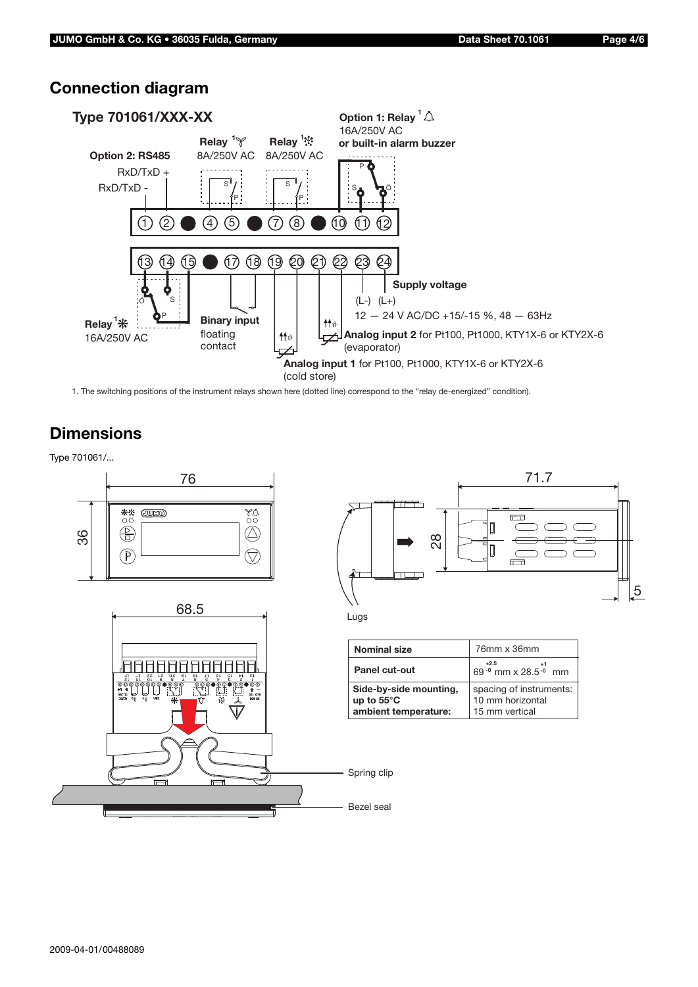



1. The switching positions of the instrument relays shown here (dotted line) correspond to the "relay de-energized" condition).

### **Dimensions**

Type 701061/...







| <b>Nominal size</b>                            | 76mm x 36mm                                 |  |
|------------------------------------------------|---------------------------------------------|--|
| Panel cut-out                                  | $+2.5$<br>69 - 0 mm x 28.5 - 0 mm           |  |
| Side-by-side mounting,<br>up to $55^{\circ}$ C | spacing of instruments:<br>10 mm horizontal |  |
| ambient temperature:                           | 15 mm vertical                              |  |

Spring clip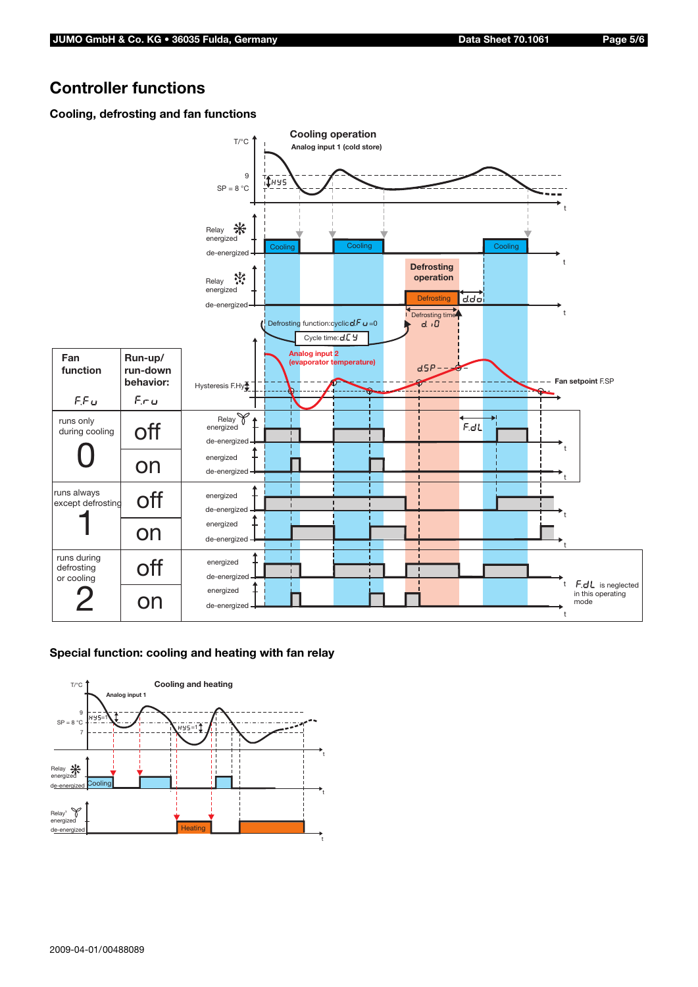### **Controller functions**

#### **Cooling, defrosting and fan functions**



#### **Special function: cooling and heating with fan relay**